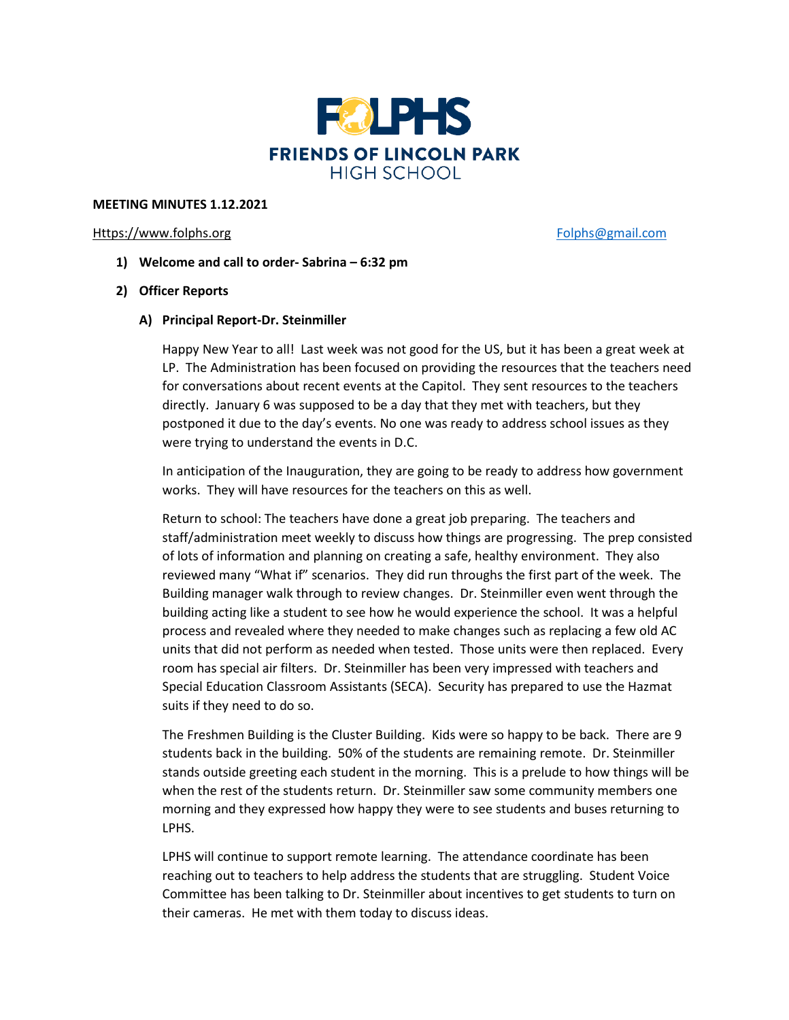

## **MEETING MINUTES 1.12.2021**

### [Https://www.folphs.org](https://www.folphs.org/) [Folphs@gmail.com](mailto:Folphs@gmail.com)

- **1) Welcome and call to order- Sabrina – 6:32 pm**
- **2) Officer Reports**
	- **A) Principal Report-Dr. Steinmiller**

Happy New Year to all! Last week was not good for the US, but it has been a great week at LP. The Administration has been focused on providing the resources that the teachers need for conversations about recent events at the Capitol. They sent resources to the teachers directly. January 6 was supposed to be a day that they met with teachers, but they postponed it due to the day's events. No one was ready to address school issues as they were trying to understand the events in D.C.

In anticipation of the Inauguration, they are going to be ready to address how government works. They will have resources for the teachers on this as well.

Return to school: The teachers have done a great job preparing. The teachers and staff/administration meet weekly to discuss how things are progressing. The prep consisted of lots of information and planning on creating a safe, healthy environment. They also reviewed many "What if" scenarios. They did run throughs the first part of the week. The Building manager walk through to review changes. Dr. Steinmiller even went through the building acting like a student to see how he would experience the school. It was a helpful process and revealed where they needed to make changes such as replacing a few old AC units that did not perform as needed when tested. Those units were then replaced. Every room has special air filters. Dr. Steinmiller has been very impressed with teachers and Special Education Classroom Assistants (SECA). Security has prepared to use the Hazmat suits if they need to do so.

The Freshmen Building is the Cluster Building. Kids were so happy to be back. There are 9 students back in the building. 50% of the students are remaining remote. Dr. Steinmiller stands outside greeting each student in the morning. This is a prelude to how things will be when the rest of the students return. Dr. Steinmiller saw some community members one morning and they expressed how happy they were to see students and buses returning to LPHS.

LPHS will continue to support remote learning. The attendance coordinate has been reaching out to teachers to help address the students that are struggling. Student Voice Committee has been talking to Dr. Steinmiller about incentives to get students to turn on their cameras. He met with them today to discuss ideas.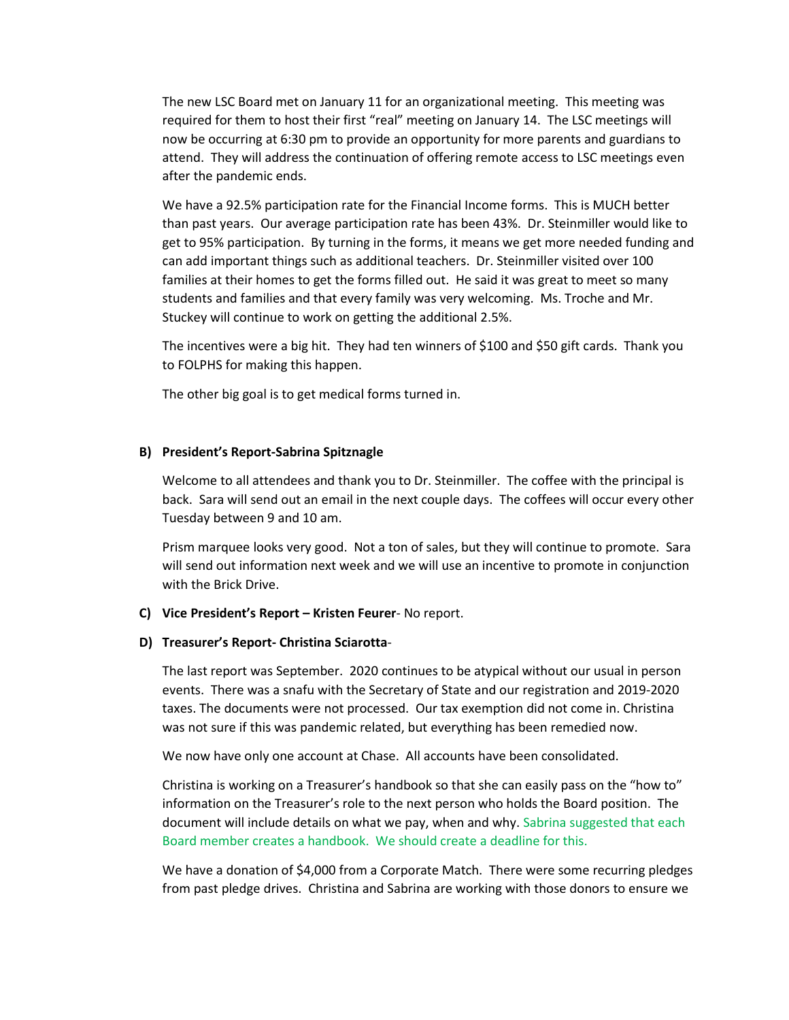The new LSC Board met on January 11 for an organizational meeting. This meeting was required for them to host their first "real" meeting on January 14. The LSC meetings will now be occurring at 6:30 pm to provide an opportunity for more parents and guardians to attend. They will address the continuation of offering remote access to LSC meetings even after the pandemic ends.

We have a 92.5% participation rate for the Financial Income forms. This is MUCH better than past years. Our average participation rate has been 43%. Dr. Steinmiller would like to get to 95% participation. By turning in the forms, it means we get more needed funding and can add important things such as additional teachers. Dr. Steinmiller visited over 100 families at their homes to get the forms filled out. He said it was great to meet so many students and families and that every family was very welcoming. Ms. Troche and Mr. Stuckey will continue to work on getting the additional 2.5%.

The incentives were a big hit. They had ten winners of \$100 and \$50 gift cards. Thank you to FOLPHS for making this happen.

The other big goal is to get medical forms turned in.

## **B) President's Report-Sabrina Spitznagle**

Welcome to all attendees and thank you to Dr. Steinmiller. The coffee with the principal is back. Sara will send out an email in the next couple days. The coffees will occur every other Tuesday between 9 and 10 am.

Prism marquee looks very good. Not a ton of sales, but they will continue to promote. Sara will send out information next week and we will use an incentive to promote in conjunction with the Brick Drive.

#### **C) Vice President's Report – Kristen Feurer**- No report.

#### **D) Treasurer's Report- Christina Sciarotta**-

The last report was September. 2020 continues to be atypical without our usual in person events. There was a snafu with the Secretary of State and our registration and 2019-2020 taxes. The documents were not processed. Our tax exemption did not come in. Christina was not sure if this was pandemic related, but everything has been remedied now.

We now have only one account at Chase. All accounts have been consolidated.

Christina is working on a Treasurer's handbook so that she can easily pass on the "how to" information on the Treasurer's role to the next person who holds the Board position. The document will include details on what we pay, when and why. Sabrina suggested that each Board member creates a handbook. We should create a deadline for this.

We have a donation of \$4,000 from a Corporate Match. There were some recurring pledges from past pledge drives. Christina and Sabrina are working with those donors to ensure we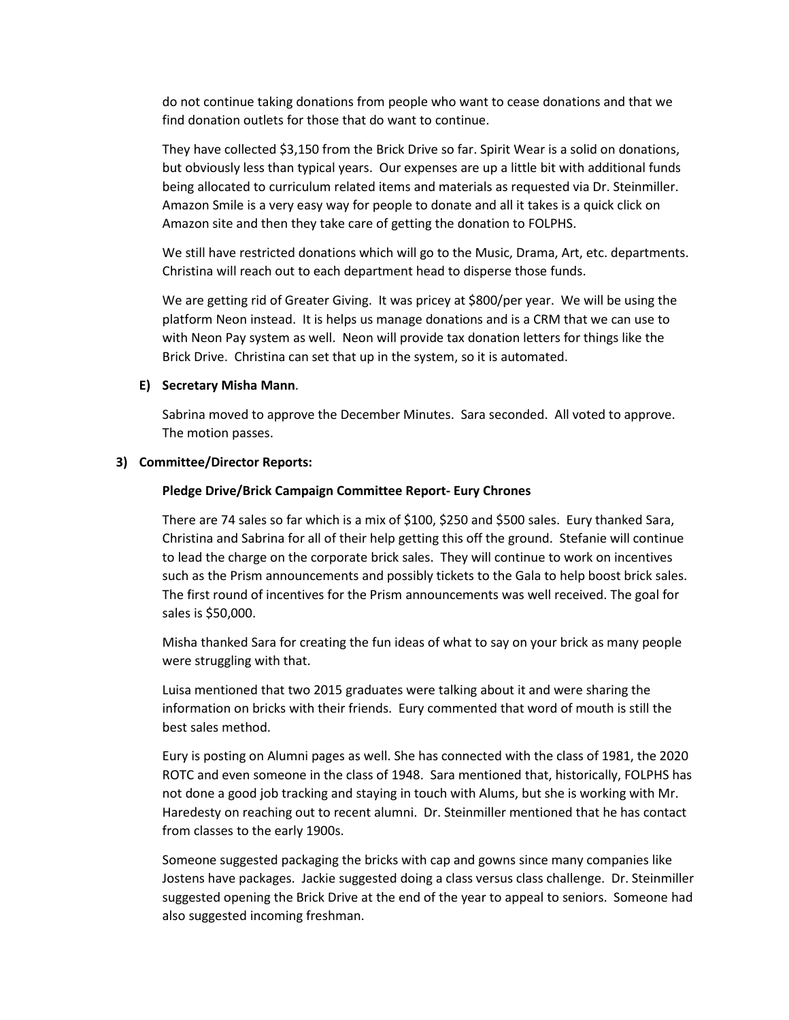do not continue taking donations from people who want to cease donations and that we find donation outlets for those that do want to continue.

They have collected \$3,150 from the Brick Drive so far. Spirit Wear is a solid on donations, but obviously less than typical years. Our expenses are up a little bit with additional funds being allocated to curriculum related items and materials as requested via Dr. Steinmiller. Amazon Smile is a very easy way for people to donate and all it takes is a quick click on Amazon site and then they take care of getting the donation to FOLPHS.

We still have restricted donations which will go to the Music, Drama, Art, etc. departments. Christina will reach out to each department head to disperse those funds.

We are getting rid of Greater Giving. It was pricey at \$800/per year. We will be using the platform Neon instead. It is helps us manage donations and is a CRM that we can use to with Neon Pay system as well. Neon will provide tax donation letters for things like the Brick Drive. Christina can set that up in the system, so it is automated.

## **E) Secretary Misha Mann**.

Sabrina moved to approve the December Minutes. Sara seconded. All voted to approve. The motion passes.

### **3) Committee/Director Reports:**

### **Pledge Drive/Brick Campaign Committee Report- Eury Chrones**

There are 74 sales so far which is a mix of \$100, \$250 and \$500 sales. Eury thanked Sara, Christina and Sabrina for all of their help getting this off the ground. Stefanie will continue to lead the charge on the corporate brick sales. They will continue to work on incentives such as the Prism announcements and possibly tickets to the Gala to help boost brick sales. The first round of incentives for the Prism announcements was well received. The goal for sales is \$50,000.

Misha thanked Sara for creating the fun ideas of what to say on your brick as many people were struggling with that.

Luisa mentioned that two 2015 graduates were talking about it and were sharing the information on bricks with their friends. Eury commented that word of mouth is still the best sales method.

Eury is posting on Alumni pages as well. She has connected with the class of 1981, the 2020 ROTC and even someone in the class of 1948. Sara mentioned that, historically, FOLPHS has not done a good job tracking and staying in touch with Alums, but she is working with Mr. Haredesty on reaching out to recent alumni. Dr. Steinmiller mentioned that he has contact from classes to the early 1900s.

Someone suggested packaging the bricks with cap and gowns since many companies like Jostens have packages. Jackie suggested doing a class versus class challenge. Dr. Steinmiller suggested opening the Brick Drive at the end of the year to appeal to seniors. Someone had also suggested incoming freshman.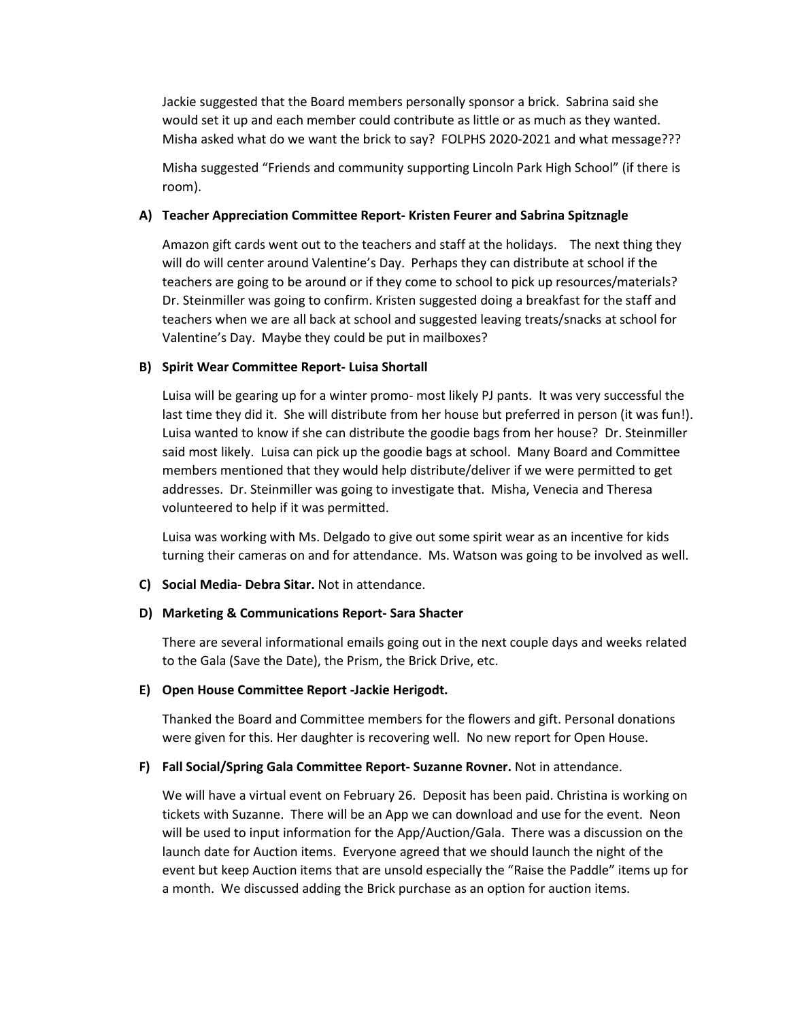Jackie suggested that the Board members personally sponsor a brick. Sabrina said she would set it up and each member could contribute as little or as much as they wanted. Misha asked what do we want the brick to say? FOLPHS 2020-2021 and what message???

Misha suggested "Friends and community supporting Lincoln Park High School" (if there is room).

## **A) Teacher Appreciation Committee Report- Kristen Feurer and Sabrina Spitznagle**

Amazon gift cards went out to the teachers and staff at the holidays. The next thing they will do will center around Valentine's Day. Perhaps they can distribute at school if the teachers are going to be around or if they come to school to pick up resources/materials? Dr. Steinmiller was going to confirm. Kristen suggested doing a breakfast for the staff and teachers when we are all back at school and suggested leaving treats/snacks at school for Valentine's Day. Maybe they could be put in mailboxes?

## **B) Spirit Wear Committee Report- Luisa Shortall**

Luisa will be gearing up for a winter promo- most likely PJ pants. It was very successful the last time they did it. She will distribute from her house but preferred in person (it was fun!). Luisa wanted to know if she can distribute the goodie bags from her house? Dr. Steinmiller said most likely. Luisa can pick up the goodie bags at school. Many Board and Committee members mentioned that they would help distribute/deliver if we were permitted to get addresses. Dr. Steinmiller was going to investigate that. Misha, Venecia and Theresa volunteered to help if it was permitted.

Luisa was working with Ms. Delgado to give out some spirit wear as an incentive for kids turning their cameras on and for attendance. Ms. Watson was going to be involved as well.

#### **C) Social Media- Debra Sitar.** Not in attendance.

#### **D) Marketing & Communications Report- Sara Shacter**

There are several informational emails going out in the next couple days and weeks related to the Gala (Save the Date), the Prism, the Brick Drive, etc.

#### **E) Open House Committee Report -Jackie Herigodt.**

Thanked the Board and Committee members for the flowers and gift. Personal donations were given for this. Her daughter is recovering well. No new report for Open House.

#### **F) Fall Social/Spring Gala Committee Report- Suzanne Rovner.** Not in attendance.

We will have a virtual event on February 26. Deposit has been paid. Christina is working on tickets with Suzanne. There will be an App we can download and use for the event. Neon will be used to input information for the App/Auction/Gala. There was a discussion on the launch date for Auction items. Everyone agreed that we should launch the night of the event but keep Auction items that are unsold especially the "Raise the Paddle" items up for a month. We discussed adding the Brick purchase as an option for auction items.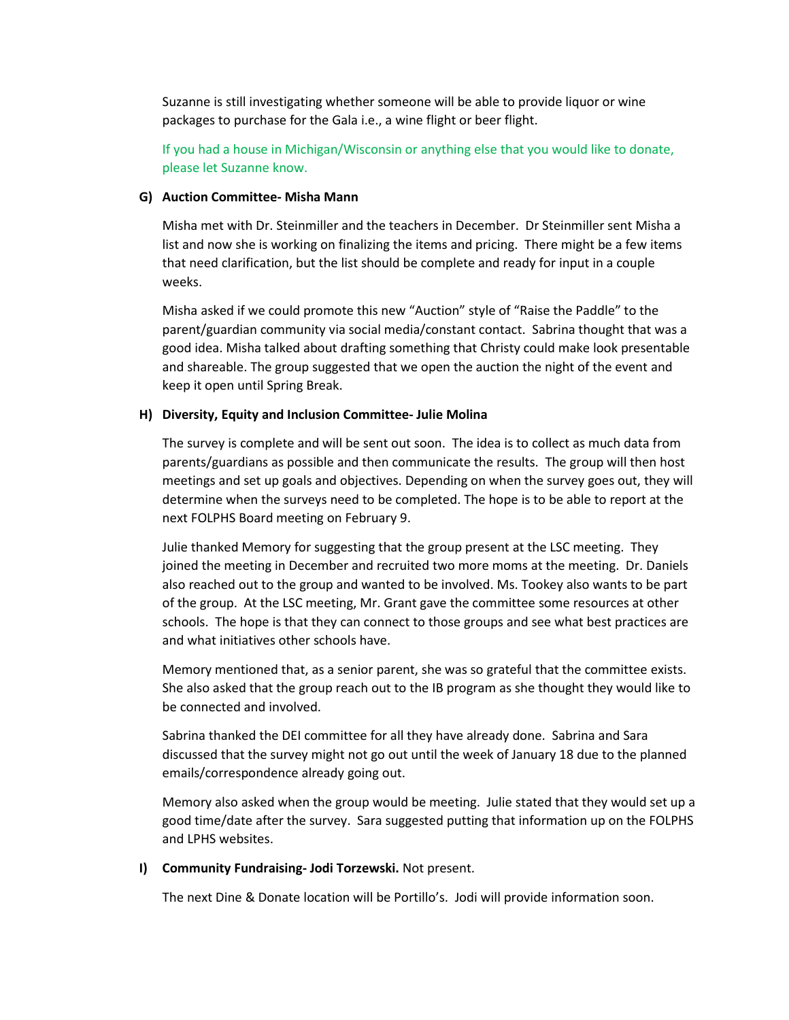Suzanne is still investigating whether someone will be able to provide liquor or wine packages to purchase for the Gala i.e., a wine flight or beer flight.

If you had a house in Michigan/Wisconsin or anything else that you would like to donate, please let Suzanne know.

## **G) Auction Committee- Misha Mann**

Misha met with Dr. Steinmiller and the teachers in December. Dr Steinmiller sent Misha a list and now she is working on finalizing the items and pricing. There might be a few items that need clarification, but the list should be complete and ready for input in a couple weeks.

Misha asked if we could promote this new "Auction" style of "Raise the Paddle" to the parent/guardian community via social media/constant contact. Sabrina thought that was a good idea. Misha talked about drafting something that Christy could make look presentable and shareable. The group suggested that we open the auction the night of the event and keep it open until Spring Break.

## **H) Diversity, Equity and Inclusion Committee- Julie Molina**

The survey is complete and will be sent out soon. The idea is to collect as much data from parents/guardians as possible and then communicate the results. The group will then host meetings and set up goals and objectives. Depending on when the survey goes out, they will determine when the surveys need to be completed. The hope is to be able to report at the next FOLPHS Board meeting on February 9.

Julie thanked Memory for suggesting that the group present at the LSC meeting. They joined the meeting in December and recruited two more moms at the meeting. Dr. Daniels also reached out to the group and wanted to be involved. Ms. Tookey also wants to be part of the group. At the LSC meeting, Mr. Grant gave the committee some resources at other schools. The hope is that they can connect to those groups and see what best practices are and what initiatives other schools have.

Memory mentioned that, as a senior parent, she was so grateful that the committee exists. She also asked that the group reach out to the IB program as she thought they would like to be connected and involved.

Sabrina thanked the DEI committee for all they have already done. Sabrina and Sara discussed that the survey might not go out until the week of January 18 due to the planned emails/correspondence already going out.

Memory also asked when the group would be meeting. Julie stated that they would set up a good time/date after the survey. Sara suggested putting that information up on the FOLPHS and LPHS websites.

## **I) Community Fundraising- Jodi Torzewski.** Not present.

The next Dine & Donate location will be Portillo's. Jodi will provide information soon.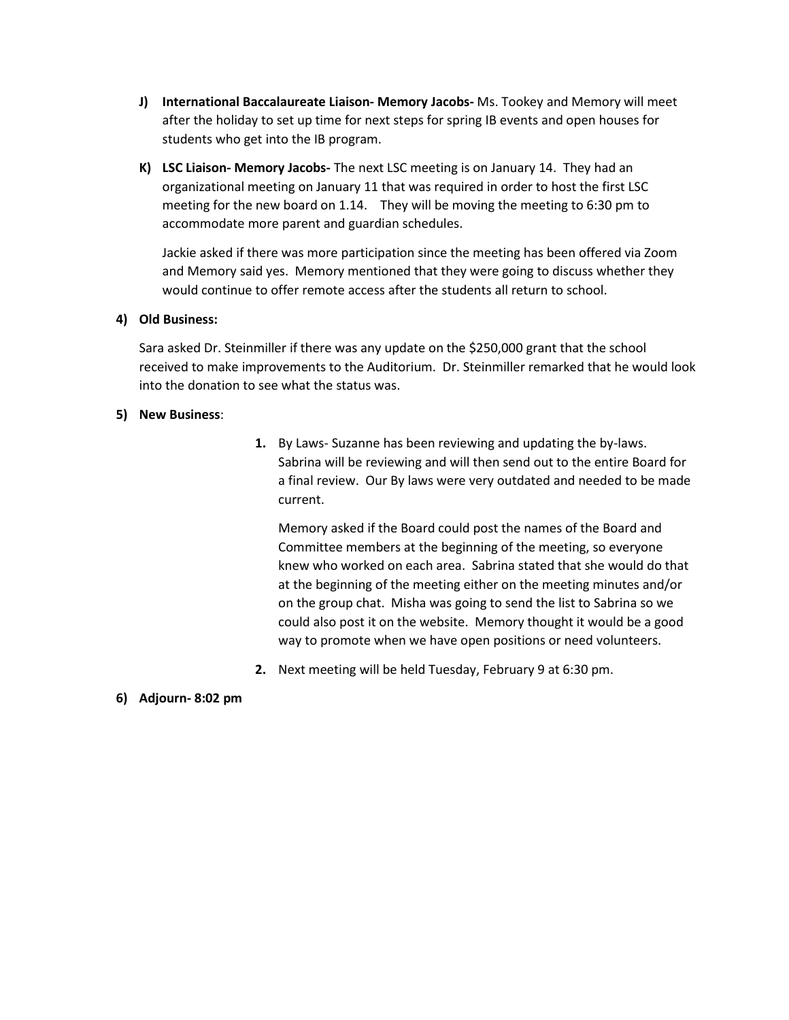- **J) International Baccalaureate Liaison- Memory Jacobs-** Ms. Tookey and Memory will meet after the holiday to set up time for next steps for spring IB events and open houses for students who get into the IB program.
- **K) LSC Liaison- Memory Jacobs-** The next LSC meeting is on January 14. They had an organizational meeting on January 11 that was required in order to host the first LSC meeting for the new board on 1.14. They will be moving the meeting to 6:30 pm to accommodate more parent and guardian schedules.

Jackie asked if there was more participation since the meeting has been offered via Zoom and Memory said yes. Memory mentioned that they were going to discuss whether they would continue to offer remote access after the students all return to school.

## **4) Old Business:**

Sara asked Dr. Steinmiller if there was any update on the \$250,000 grant that the school received to make improvements to the Auditorium. Dr. Steinmiller remarked that he would look into the donation to see what the status was.

## **5) New Business**:

**1.** By Laws- Suzanne has been reviewing and updating the by-laws. Sabrina will be reviewing and will then send out to the entire Board for a final review. Our By laws were very outdated and needed to be made current.

Memory asked if the Board could post the names of the Board and Committee members at the beginning of the meeting, so everyone knew who worked on each area. Sabrina stated that she would do that at the beginning of the meeting either on the meeting minutes and/or on the group chat. Misha was going to send the list to Sabrina so we could also post it on the website. Memory thought it would be a good way to promote when we have open positions or need volunteers.

- **2.** Next meeting will be held Tuesday, February 9 at 6:30 pm.
- **6) Adjourn- 8:02 pm**